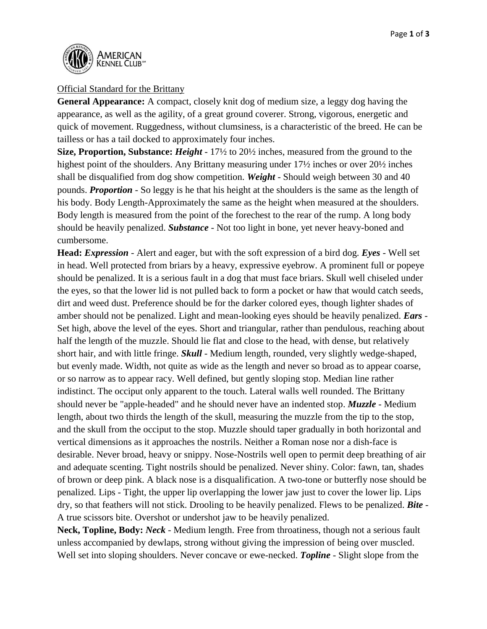

Official Standard for the Brittany

**General Appearance:** A compact, closely knit dog of medium size, a leggy dog having the appearance, as well as the agility, of a great ground coverer. Strong, vigorous, energetic and quick of movement. Ruggedness, without clumsiness, is a characteristic of the breed. He can be tailless or has a tail docked to approximately four inches.

**Size, Proportion, Substance:** *Height* - 17½ to 20½ inches, measured from the ground to the highest point of the shoulders. Any Brittany measuring under  $17\frac{1}{2}$  inches or over  $20\frac{1}{2}$  inches shall be disqualified from dog show competition. *Weight* - Should weigh between 30 and 40 pounds. *Proportion* - So leggy is he that his height at the shoulders is the same as the length of his body. Body Length-Approximately the same as the height when measured at the shoulders. Body length is measured from the point of the forechest to the rear of the rump. A long body should be heavily penalized. *Substance* - Not too light in bone, yet never heavy-boned and cumbersome.

**Head:** *Expression* - Alert and eager, but with the soft expression of a bird dog. *Eyes* - Well set in head. Well protected from briars by a heavy, expressive eyebrow. A prominent full or popeye should be penalized. It is a serious fault in a dog that must face briars. Skull well chiseled under the eyes, so that the lower lid is not pulled back to form a pocket or haw that would catch seeds, dirt and weed dust. Preference should be for the darker colored eyes, though lighter shades of amber should not be penalized. Light and mean-looking eyes should be heavily penalized. *Ears* - Set high, above the level of the eyes. Short and triangular, rather than pendulous, reaching about half the length of the muzzle. Should lie flat and close to the head, with dense, but relatively short hair, and with little fringe. *Skull* - Medium length, rounded, very slightly wedge-shaped, but evenly made. Width, not quite as wide as the length and never so broad as to appear coarse, or so narrow as to appear racy. Well defined, but gently sloping stop. Median line rather indistinct. The occiput only apparent to the touch. Lateral walls well rounded. The Brittany should never be "apple-headed" and he should never have an indented stop. *Muzzle* - Medium length, about two thirds the length of the skull, measuring the muzzle from the tip to the stop, and the skull from the occiput to the stop. Muzzle should taper gradually in both horizontal and vertical dimensions as it approaches the nostrils. Neither a Roman nose nor a dish-face is desirable. Never broad, heavy or snippy. Nose-Nostrils well open to permit deep breathing of air and adequate scenting. Tight nostrils should be penalized. Never shiny. Color: fawn, tan, shades of brown or deep pink. A black nose is a disqualification. A two-tone or butterfly nose should be penalized. Lips - Tight, the upper lip overlapping the lower jaw just to cover the lower lip. Lips dry, so that feathers will not stick. Drooling to be heavily penalized. Flews to be penalized. *Bite* - A true scissors bite. Overshot or undershot jaw to be heavily penalized.

**Neck, Topline, Body:** *Neck* - Medium length. Free from throatiness, though not a serious fault unless accompanied by dewlaps, strong without giving the impression of being over muscled. Well set into sloping shoulders. Never concave or ewe-necked. *Topline* - Slight slope from the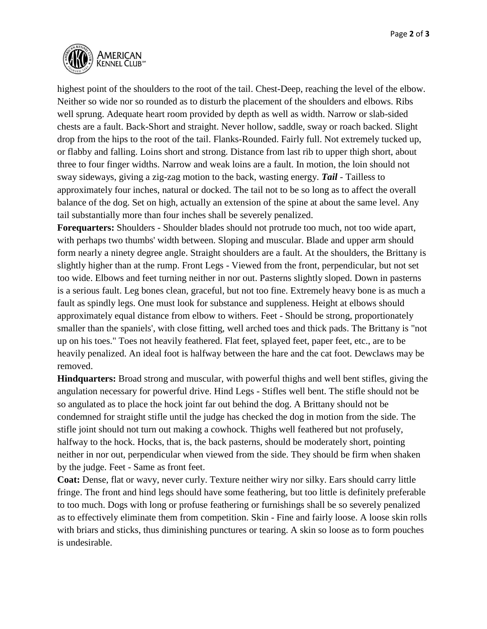

highest point of the shoulders to the root of the tail. Chest-Deep, reaching the level of the elbow. Neither so wide nor so rounded as to disturb the placement of the shoulders and elbows. Ribs well sprung. Adequate heart room provided by depth as well as width. Narrow or slab-sided chests are a fault. Back-Short and straight. Never hollow, saddle, sway or roach backed. Slight drop from the hips to the root of the tail. Flanks-Rounded. Fairly full. Not extremely tucked up, or flabby and falling. Loins short and strong. Distance from last rib to upper thigh short, about three to four finger widths. Narrow and weak loins are a fault. In motion, the loin should not sway sideways, giving a zig-zag motion to the back, wasting energy. *Tail* - Tailless to approximately four inches, natural or docked. The tail not to be so long as to affect the overall balance of the dog. Set on high, actually an extension of the spine at about the same level. Any tail substantially more than four inches shall be severely penalized.

**Forequarters:** Shoulders - Shoulder blades should not protrude too much, not too wide apart, with perhaps two thumbs' width between. Sloping and muscular. Blade and upper arm should form nearly a ninety degree angle. Straight shoulders are a fault. At the shoulders, the Brittany is slightly higher than at the rump. Front Legs - Viewed from the front, perpendicular, but not set too wide. Elbows and feet turning neither in nor out. Pasterns slightly sloped. Down in pasterns is a serious fault. Leg bones clean, graceful, but not too fine. Extremely heavy bone is as much a fault as spindly legs. One must look for substance and suppleness. Height at elbows should approximately equal distance from elbow to withers. Feet - Should be strong, proportionately smaller than the spaniels', with close fitting, well arched toes and thick pads. The Brittany is "not up on his toes." Toes not heavily feathered. Flat feet, splayed feet, paper feet, etc., are to be heavily penalized. An ideal foot is halfway between the hare and the cat foot. Dewclaws may be removed.

**Hindquarters:** Broad strong and muscular, with powerful thighs and well bent stifles, giving the angulation necessary for powerful drive. Hind Legs - Stifles well bent. The stifle should not be so angulated as to place the hock joint far out behind the dog. A Brittany should not be condemned for straight stifle until the judge has checked the dog in motion from the side. The stifle joint should not turn out making a cowhock. Thighs well feathered but not profusely, halfway to the hock. Hocks, that is, the back pasterns, should be moderately short, pointing neither in nor out, perpendicular when viewed from the side. They should be firm when shaken by the judge. Feet - Same as front feet.

**Coat:** Dense, flat or wavy, never curly. Texture neither wiry nor silky. Ears should carry little fringe. The front and hind legs should have some feathering, but too little is definitely preferable to too much. Dogs with long or profuse feathering or furnishings shall be so severely penalized as to effectively eliminate them from competition. Skin - Fine and fairly loose. A loose skin rolls with briars and sticks, thus diminishing punctures or tearing. A skin so loose as to form pouches is undesirable.